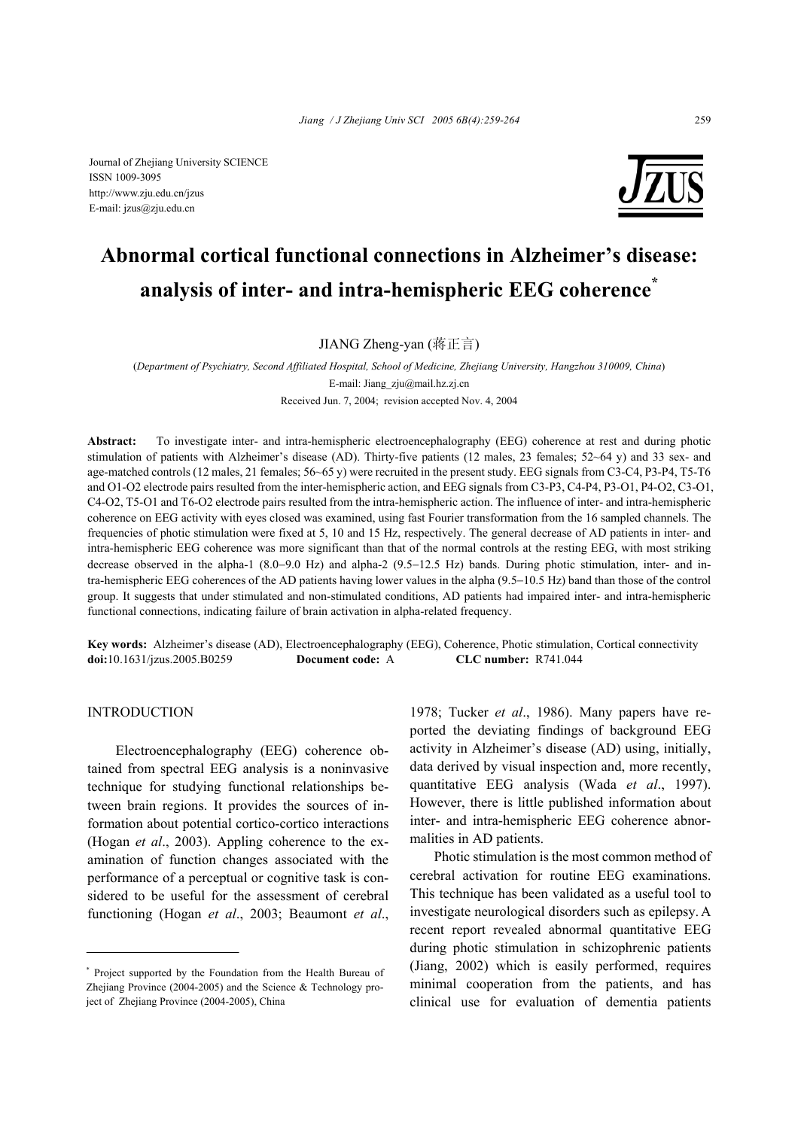Journal of Zhejiang University SCIENCE ISSN 1009-3095 http://www.zju.edu.cn/jzus E-mail: jzus@zju.edu.cn



# **Abnormal cortical functional connections in Alzheimer's disease: analysis of inter- and intra-hemispheric EEG coherence\***

JIANG Zheng-yan (蒋正言)

(*Department of Psychiatry, Second Affiliated Hospital, School of Medicine, Zhejiang University, Hangzhou 310009, China*) E-mail: Jiang\_zju@mail.hz.zj.cn Received Jun. 7, 2004; revision accepted Nov. 4, 2004

**Abstract:** To investigate inter- and intra-hemispheric electroencephalography (EEG) coherence at rest and during photic stimulation of patients with Alzheimer's disease (AD). Thirty-five patients (12 males, 23 females; 52~64 y) and 33 sex- and age-matched controls (12 males, 21 females; 56~65 y) were recruited in the present study. EEG signals from C3-C4, P3-P4, T5-T6 and O1-O2 electrode pairs resulted from the inter-hemispheric action, and EEG signals from C3-P3, C4-P4, P3-O1, P4-O2, C3-O1, C4-O2, T5-O1 and T6-O2 electrode pairs resulted from the intra-hemispheric action. The influence of inter- and intra-hemispheric coherence on EEG activity with eyes closed was examined, using fast Fourier transformation from the 16 sampled channels. The frequencies of photic stimulation were fixed at 5, 10 and 15 Hz, respectively. The general decrease of AD patients in inter- and intra-hemispheric EEG coherence was more significant than that of the normal controls at the resting EEG, with most striking decrease observed in the alpha-1 (8.0−9.0 Hz) and alpha-2 (9.5−12.5 Hz) bands. During photic stimulation, inter- and intra-hemispheric EEG coherences of the AD patients having lower values in the alpha (9.5−10.5 Hz) band than those of the control group. It suggests that under stimulated and non-stimulated conditions, AD patients had impaired inter- and intra-hemispheric functional connections, indicating failure of brain activation in alpha-related frequency.

**Key words:** Alzheimer's disease (AD), Electroencephalography (EEG), Coherence, Photic stimulation, Cortical connectivity **doi:**10.1631/jzus.2005.B0259 **Document code:** A **CLC number:** R741.044

# INTRODUCTION

Electroencephalography (EEG) coherence obtained from spectral EEG analysis is a noninvasive technique for studying functional relationships between brain regions. It provides the sources of information about potential cortico-cortico interactions (Hogan *et al*., 2003). Appling coherence to the examination of function changes associated with the performance of a perceptual or cognitive task is considered to be useful for the assessment of cerebral functioning (Hogan *et al*., 2003; Beaumont *et al*.,

1978; Tucker *et al*., 1986). Many papers have reported the deviating findings of background EEG activity in Alzheimer's disease (AD) using, initially, data derived by visual inspection and, more recently, quantitative EEG analysis (Wada *et al*., 1997). However, there is little published information about inter- and intra-hemispheric EEG coherence abnormalities in AD patients.

Photic stimulation is the most common method of cerebral activation for routine EEG examinations. This technique has been validated as a useful tool to investigate neurological disorders such as epilepsy. A recent report revealed abnormal quantitative EEG during photic stimulation in schizophrenic patients (Jiang, 2002) which is easily performed, requires minimal cooperation from the patients, and has clinical use for evaluation of dementia patients

<sup>\*</sup> Project supported by the Foundation from the Health Bureau of Zheijang Province (2004-2005) and the Science  $&$  Technology project of Zhejiang Province (2004-2005), China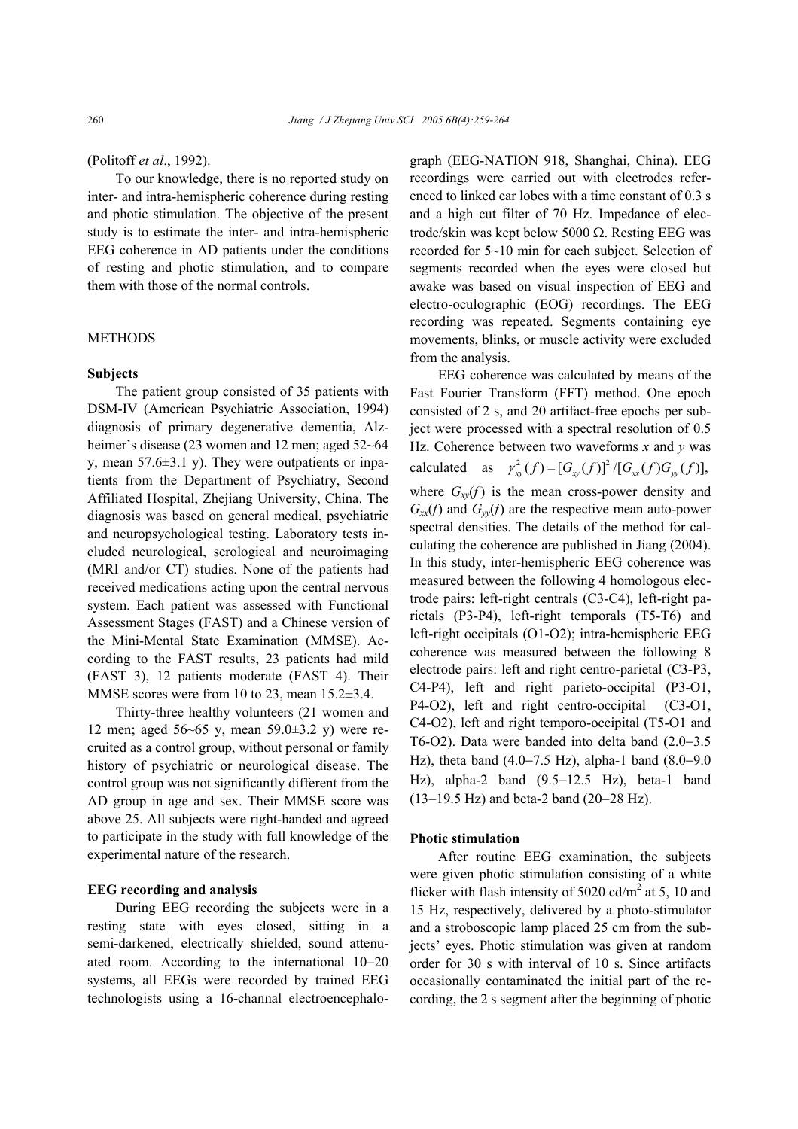#### (Politoff *et al*., 1992).

To our knowledge, there is no reported study on inter- and intra-hemispheric coherence during resting and photic stimulation. The objective of the present study is to estimate the inter- and intra-hemispheric EEG coherence in AD patients under the conditions of resting and photic stimulation, and to compare them with those of the normal controls.

#### METHODS

## **Subjects**

The patient group consisted of 35 patients with DSM-IV (American Psychiatric Association, 1994) diagnosis of primary degenerative dementia, Alzheimer's disease (23 women and 12 men; aged 52~64 y, mean  $57.6\pm3.1$  y). They were outpatients or inpatients from the Department of Psychiatry, Second Affiliated Hospital, Zhejiang University, China. The diagnosis was based on general medical, psychiatric and neuropsychological testing. Laboratory tests included neurological, serological and neuroimaging (MRI and/or CT) studies. None of the patients had received medications acting upon the central nervous system. Each patient was assessed with Functional Assessment Stages (FAST) and a Chinese version of the Mini-Mental State Examination (MMSE). According to the FAST results, 23 patients had mild (FAST 3), 12 patients moderate (FAST 4). Their MMSE scores were from 10 to 23, mean 15.2 $\pm$ 3.4.

Thirty-three healthy volunteers (21 women and 12 men; aged 56~65 y, mean 59.0±3.2 y) were recruited as a control group, without personal or family history of psychiatric or neurological disease. The control group was not significantly different from the AD group in age and sex. Their MMSE score was above 25. All subjects were right-handed and agreed to participate in the study with full knowledge of the experimental nature of the research.

## **EEG recording and analysis**

During EEG recording the subjects were in a resting state with eyes closed, sitting in a semi-darkened, electrically shielded, sound attenuated room. According to the international 10−20 systems, all EEGs were recorded by trained EEG technologists using a 16-channal electroencephalograph (EEG-NATION 918, Shanghai, China). EEG recordings were carried out with electrodes referenced to linked ear lobes with a time constant of 0.3 s and a high cut filter of 70 Hz. Impedance of electrode/skin was kept below 5000 Ω. Resting EEG was recorded for 5~10 min for each subject. Selection of segments recorded when the eyes were closed but awake was based on visual inspection of EEG and electro-oculographic (EOG) recordings. The EEG recording was repeated. Segments containing eye movements, blinks, or muscle activity were excluded from the analysis.

EEG coherence was calculated by means of the Fast Fourier Transform (FFT) method. One epoch consisted of 2 s, and 20 artifact-free epochs per subject were processed with a spectral resolution of 0.5 Hz. Coherence between two waveforms *x* and *y* was calculated as  $\gamma_w^2(f) = [G_w(f)]^2/[G_w(f)G_w(f)],$ where  $G_{xy}(f)$  is the mean cross-power density and  $G_{xx}(f)$  and  $G_{yy}(f)$  are the respective mean auto-power spectral densities. The details of the method for calculating the coherence are published in Jiang (2004). In this study, inter-hemispheric EEG coherence was measured between the following 4 homologous electrode pairs: left-right centrals (C3-C4), left-right parietals (P3-P4), left-right temporals (T5-T6) and left-right occipitals (O1-O2); intra-hemispheric EEG coherence was measured between the following 8 electrode pairs: left and right centro-parietal (C3-P3, C4-P4), left and right parieto-occipital (P3-O1, P4-O2), left and right centro-occipital (C3-O1, C4-O2), left and right temporo-occipital (T5-O1 and T6-O2). Data were banded into delta band (2.0−3.5 Hz), theta band (4.0−7.5 Hz), alpha-1 band (8.0−9.0 Hz), alpha-2 band (9.5−12.5 Hz), beta-1 band (13−19.5 Hz) and beta-2 band (20−28 Hz).

## **Photic stimulation**

After routine EEG examination, the subjects were given photic stimulation consisting of a white flicker with flash intensity of 5020 cd/ $m<sup>2</sup>$  at 5, 10 and 15 Hz, respectively, delivered by a photo-stimulator and a stroboscopic lamp placed 25 cm from the subjects' eyes. Photic stimulation was given at random order for 30 s with interval of 10 s. Since artifacts occasionally contaminated the initial part of the recording, the 2 s segment after the beginning of photic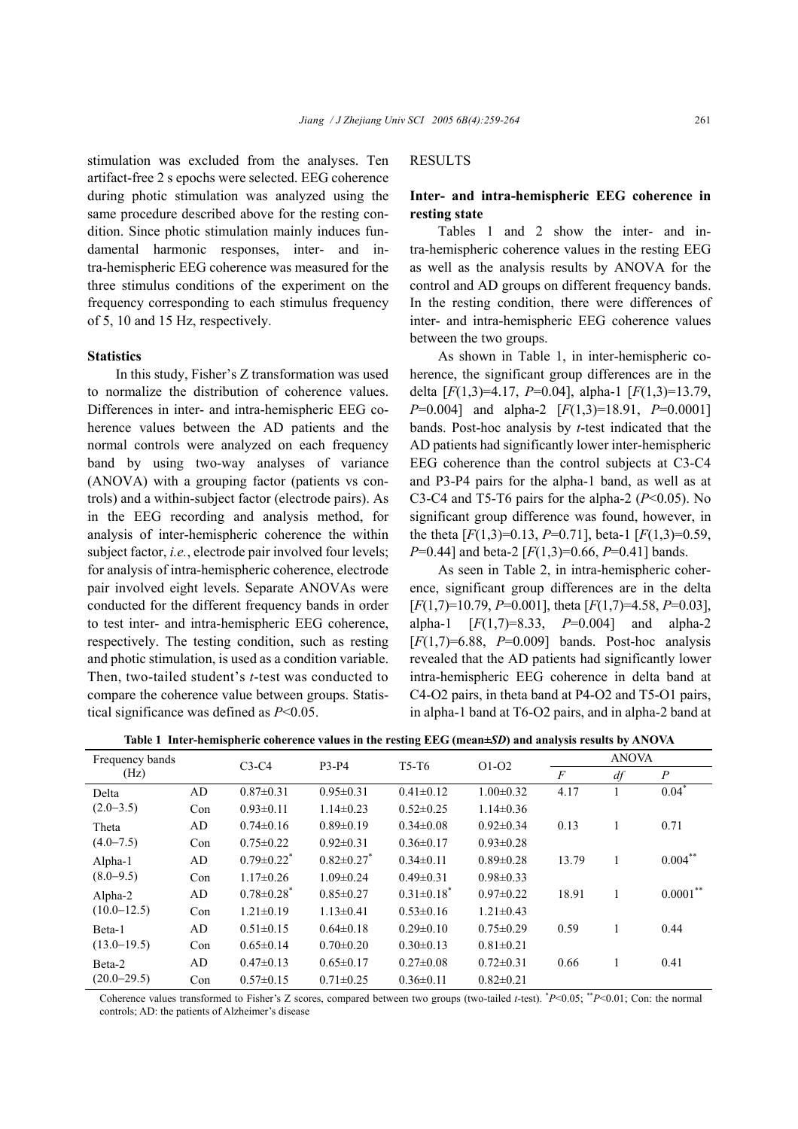stimulation was excluded from the analyses. Ten artifact-free 2 s epochs were selected. EEG coherence during photic stimulation was analyzed using the same procedure described above for the resting condition. Since photic stimulation mainly induces fundamental harmonic responses, inter- and intra-hemispheric EEG coherence was measured for the three stimulus conditions of the experiment on the frequency corresponding to each stimulus frequency of 5, 10 and 15 Hz, respectively.

#### **Statistics**

In this study, Fisher's Z transformation was used to normalize the distribution of coherence values. Differences in inter- and intra-hemispheric EEG coherence values between the AD patients and the normal controls were analyzed on each frequency band by using two-way analyses of variance (ANOVA) with a grouping factor (patients vs controls) and a within-subject factor (electrode pairs). As in the EEG recording and analysis method, for analysis of inter-hemispheric coherence the within subject factor, *i.e.*, electrode pair involved four levels; for analysis of intra-hemispheric coherence, electrode pair involved eight levels. Separate ANOVAs were conducted for the different frequency bands in order to test inter- and intra-hemispheric EEG coherence, respectively. The testing condition, such as resting and photic stimulation, is used as a condition variable. Then, two-tailed student's *t*-test was conducted to compare the coherence value between groups. Statistical significance was defined as *P*<0.05.

## RESULTS

# **Inter- and intra-hemispheric EEG coherence in resting state**

Tables 1 and 2 show the inter- and intra-hemispheric coherence values in the resting EEG as well as the analysis results by ANOVA for the control and AD groups on different frequency bands. In the resting condition, there were differences of inter- and intra-hemispheric EEG coherence values between the two groups.

As shown in Table 1, in inter-hemispheric coherence, the significant group differences are in the delta [*F*(1,3)=4.17, *P*=0.04], alpha-1 [*F*(1,3)=13.79, *P*=0.004] and alpha-2 [*F*(1,3)=18.91, *P*=0.0001] bands. Post-hoc analysis by *t*-test indicated that the AD patients had significantly lower inter-hemispheric EEG coherence than the control subjects at C3-C4 and P3-P4 pairs for the alpha-1 band, as well as at C3-C4 and T5-T6 pairs for the alpha-2  $(P<0.05)$ . No significant group difference was found, however, in the theta  $[F(1,3)=0.13, P=0.71]$ , beta-1  $[F(1,3)=0.59,$ *P*=0.44] and beta-2 [*F*(1,3)=0.66, *P*=0.41] bands.

As seen in Table 2, in intra-hemispheric coherence, significant group differences are in the delta [*F*(1,7)=10.79, *P*=0.001], theta [*F*(1,7)=4.58, *P*=0.03], alpha-1 [*F*(1,7)=8.33, *P*=0.004] and alpha-2  $[F(1,7)=6.88, P=0.009]$  bands. Post-hoc analysis revealed that the AD patients had significantly lower intra-hemispheric EEG coherence in delta band at C4-O2 pairs, in theta band at P4-O2 and T5-O1 pairs, in alpha-1 band at T6-O2 pairs, and in alpha-2 band at

**Table 1 Inter-hemispheric coherence values in the resting EEG (mean±***SD***) and analysis results by ANOVA** 

| Frequency bands           |     | $C3-C4$                      | P3-P4           | T <sub>5</sub> -T <sub>6</sub> | $O1-O2$         | <b>ANOVA</b>   |    |                  |  |
|---------------------------|-----|------------------------------|-----------------|--------------------------------|-----------------|----------------|----|------------------|--|
| (Hz)                      |     |                              |                 |                                |                 | $\overline{F}$ | df | $\boldsymbol{P}$ |  |
| Delta                     | AD  | $0.87 \pm 0.31$              | $0.95 \pm 0.31$ | $0.41 \pm 0.12$                | $1.00 \pm 0.32$ | 4.17           |    | $0.04*$          |  |
| $(2.0-3.5)$               | Con | $0.93 \pm 0.11$              | $1.14\pm0.23$   | $0.52 \pm 0.25$                | $1.14 \pm 0.36$ |                |    |                  |  |
| Theta<br>$(4.0 - 7.5)$    | AD  | $0.74 \pm 0.16$              | $0.89 \pm 0.19$ | $0.34\pm0.08$                  | $0.92\pm0.34$   | 0.13           |    | 0.71             |  |
|                           | Con | $0.75 \pm 0.22$              | $0.92 \pm 0.31$ | $0.36 \pm 0.17$                | $0.93 \pm 0.28$ |                |    |                  |  |
| Alpha-1<br>$(8.0 - 9.5)$  | AD  | $0.79 \pm 0.22$ <sup>*</sup> | $0.82 \pm 0.27$ | $0.34\pm 0.11$                 | $0.89 \pm 0.28$ | 13.79          |    | $0.004***$       |  |
|                           | Con | $1.17 \pm 0.26$              | $1.09 \pm 0.24$ | $0.49 \pm 0.31$                | $0.98\pm0.33$   |                |    |                  |  |
| Alpha-2                   | AD  | $0.78 \pm 0.28$ <sup>*</sup> | $0.85 \pm 0.27$ | $0.31 \pm 0.18$ <sup>*</sup>   | $0.97\pm0.22$   | 18.91          |    | $0.0001***$      |  |
| $(10.0 - 12.5)$           | Con | $1.21 \pm 0.19$              | $1.13 \pm 0.41$ | $0.53 \pm 0.16$                | $1.21 \pm 0.43$ |                |    |                  |  |
| Beta-1                    | AD  | $0.51 \pm 0.15$              | $0.64 \pm 0.18$ | $0.29 \pm 0.10$                | $0.75 \pm 0.29$ | 0.59           |    | 0.44             |  |
| $(13.0 - 19.5)$           | Con | $0.65 \pm 0.14$              | $0.70 \pm 0.20$ | $0.30 \pm 0.13$                | $0.81 \pm 0.21$ |                |    |                  |  |
| Beta-2<br>$(20.0 - 29.5)$ | AD  | $0.47 \pm 0.13$              | $0.65 \pm 0.17$ | $0.27 \pm 0.08$                | $0.72 \pm 0.31$ | 0.66           |    | 0.41             |  |
|                           | Con | $0.57 \pm 0.15$              | $0.71 \pm 0.25$ | $0.36 \pm 0.11$                | $0.82 \pm 0.21$ |                |    |                  |  |

Coherence values transformed to Fisher's Z scores, compared between two groups (two-tailed *t*-test). \* *P*<0.05; \*\**P*<0.01; Con: the normal controls; AD: the patients of Alzheimer's disease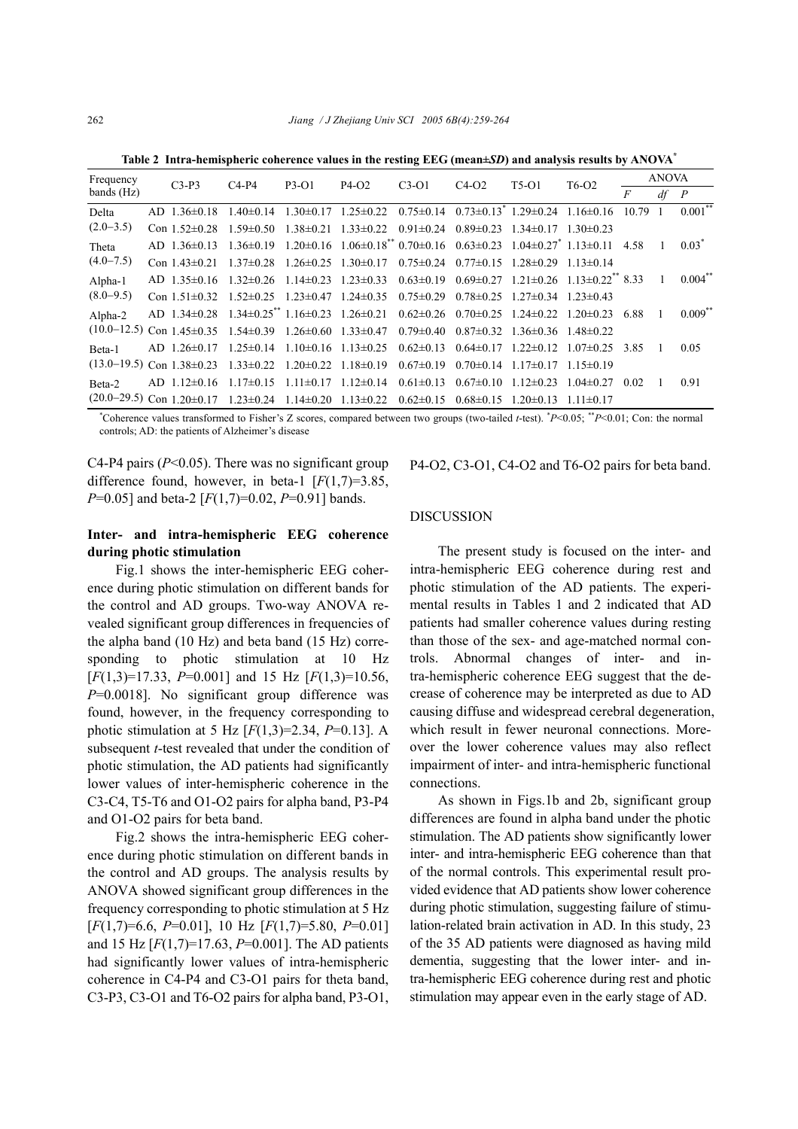**Table 2 Intra-hemispheric coherence values in the resting EEG (mean±***SD***) and analysis results by ANOVA\***

| Frequency<br>bands (Hz)         | $C3-P3$ | $C4-P4$               | P3-01                                     | $P4-O2$                         | $C3-O1$                                                                                                  | $C4-O2$         | $T5-01$                                                 | $T6-02$                    | <b>ANOVA</b>                                                       |       |    |                |
|---------------------------------|---------|-----------------------|-------------------------------------------|---------------------------------|----------------------------------------------------------------------------------------------------------|-----------------|---------------------------------------------------------|----------------------------|--------------------------------------------------------------------|-------|----|----------------|
|                                 |         |                       |                                           |                                 |                                                                                                          |                 |                                                         |                            |                                                                    | F     | df | $\overline{P}$ |
| Delta                           |         | $AD$ 1.36 $\pm$ 0.18  | $1.40 \pm 0.14$                           |                                 | $1.30\pm 0.17$ $1.25\pm 0.22$                                                                            |                 | $0.75\pm0.14$ $0.73\pm0.13$ $1.29\pm0.24$ $1.16\pm0.16$ |                            |                                                                    | 10.79 |    | $0.001$ **     |
| $(2.0-3.5)$                     |         | Con $1.52 \pm 0.28$   | $1.59 \pm 0.50$                           | $1.38\pm0.21$ $1.33\pm0.22$     |                                                                                                          | $0.91 \pm 0.24$ | $0.89\pm0.23$ $1.34\pm0.17$ $1.30\pm0.23$               |                            |                                                                    |       |    |                |
| Theta                           |         | $AD$ 1 36 $\pm$ 0 13  |                                           |                                 | $1.36\pm0.19$ $1.20\pm0.16$ $1.06\pm0.18$ $0.70\pm0.16$ $0.63\pm0.23$ $1.04\pm0.27$ $1.13\pm0.11$ $4.58$ |                 |                                                         |                            |                                                                    |       |    | $0.03*$        |
| $(4.0 - 7.5)$                   |         | Con $1.43\pm0.21$     | $1.37\pm0.28$                             | $1.26 \pm 0.25$ $1.30 \pm 0.17$ |                                                                                                          | $0.75 \pm 0.24$ | $0.77\pm 0.15$ 1.28 $\pm 0.29$                          |                            | $1.13\pm 0.14$                                                     |       |    |                |
| $Alpha-1$                       |         | $AD$ 1.35 $\pm$ 0.16  | $1.32 \pm 0.26$                           | $1.14\pm0.23$ $1.23\pm0.33$     |                                                                                                          | $0.63 \pm 0.19$ |                                                         |                            | $0.69 \pm 0.27$ 1.21 $\pm 0.26$ 1.13 $\pm 0.22$ <sup>**</sup> 8.33 |       |    | $0.004***$     |
| $(8.0 - 9.5)$                   |         | Con $1.51\pm0.32$     | $1.52\pm0.25$ $1.23\pm0.47$ $1.24\pm0.35$ |                                 |                                                                                                          | $0.75 \pm 0.29$ | $0.78\pm0.25$ 1.27 $\pm$ 0.34 1.23 $\pm$ 0.43           |                            |                                                                    |       |    |                |
| Alpha-2                         |         |                       |                                           |                                 | AD 1.34±0.28 1.34±0.25 1.16±0.23 1.26±0.21 0.62±0.26 0.70±0.25 1.24±0.22 1.20±0.23                       |                 |                                                         |                            |                                                                    | 6.88  |    | $0.009**$      |
| $(10.0 - 12.5)$                 |         | Con $1.45 \pm 0.35$   | $1.54\pm0.39$                             | $1.26\pm0.60$ $1.33\pm0.47$     |                                                                                                          | $0.79 \pm 0.40$ | $0.87\pm0.32$ 1.36 $\pm$ 0.36 1.48 $\pm$ 0.22           |                            |                                                                    |       |    |                |
| Beta-1                          |         | $AD \; 1.26 \pm 0.17$ | $1.25 \pm 0.14$                           | $1.10\pm0.16$ $1.13\pm0.25$     |                                                                                                          | $0.62 \pm 0.13$ | $0.64\pm0.17$ $1.22\pm0.12$ $1.07\pm0.25$               |                            |                                                                    | 3.85  |    | 0.05           |
| $(13.0 - 19.5)$                 |         | Con $1.38\pm0.23$     | $1.33\pm0.22$ $1.20\pm0.22$ $1.18\pm0.19$ |                                 |                                                                                                          | $0.67 \pm 0.19$ | $0.70 \pm 0.14$                                         | $117\pm 017$ 115 $\pm 019$ |                                                                    |       |    |                |
| Beta-2                          |         | $AD$ 1.12 $\pm$ 0.16  | $1.17\pm 0.15$                            | $1.11 \pm 0.17$ $1.12 \pm 0.14$ |                                                                                                          | $0.61 \pm 0.13$ | $0.67 \pm 0.10$                                         | $1.12\pm0.23$              | $1.04\pm0.27$                                                      | 0.02  |    | 0.91           |
| $(20.0-29.5)$ Con $1.20\pm0.17$ |         |                       | $1.23 \pm 0.24$                           | $1.14\pm0.20$ $1.13\pm0.22$     |                                                                                                          | $0.62 \pm 0.15$ | $0.68 \pm 0.15$                                         | $1.20 \pm 0.13$            | $111\pm0.17$                                                       |       |    |                |

\* Coherence values transformed to Fisher's Z scores, compared between two groups (two-tailed *t*-test). \* *P*<0.05; \*\**P*<0.01; Con: the normal controls; AD: the patients of Alzheimer's disease

C4-P4 pairs  $(P< 0.05)$ . There was no significant group difference found, however, in beta-1  $[F(1,7)=3.85]$ , *P*=0.05] and beta-2 [*F*(1,7)=0.02, *P*=0.91] bands.

# **Inter- and intra-hemispheric EEG coherence during photic stimulation**

Fig.1 shows the inter-hemispheric EEG coherence during photic stimulation on different bands for the control and AD groups. Two-way ANOVA revealed significant group differences in frequencies of the alpha band (10 Hz) and beta band (15 Hz) corresponding to photic stimulation at 10 Hz [*F*(1,3)=17.33, *P*=0.001] and 15 Hz [*F*(1,3)=10.56, *P*=0.0018]. No significant group difference was found, however, in the frequency corresponding to photic stimulation at 5 Hz [*F*(1,3)=2.34, *P*=0.13]. A subsequent *t*-test revealed that under the condition of photic stimulation, the AD patients had significantly lower values of inter-hemispheric coherence in the C3-C4, T5-T6 and O1-O2 pairs for alpha band, P3-P4 and O1-O2 pairs for beta band.

Fig.2 shows the intra-hemispheric EEG coherence during photic stimulation on different bands in the control and AD groups. The analysis results by ANOVA showed significant group differences in the frequency corresponding to photic stimulation at 5 Hz [*F*(1,7)=6.6, *P*=0.01], 10 Hz [*F*(1,7)=5.80, *P*=0.01] and 15 Hz [*F*(1,7)=17.63, *P*=0.001]. The AD patients had significantly lower values of intra-hemispheric coherence in C4-P4 and C3-O1 pairs for theta band, C3-P3, C3-O1 and T6-O2 pairs for alpha band, P3-O1, P4-O2, C3-O1, C4-O2 and T6-O2 pairs for beta band.

# DISCUSSION

The present study is focused on the inter- and intra-hemispheric EEG coherence during rest and photic stimulation of the AD patients. The experimental results in Tables 1 and 2 indicated that AD patients had smaller coherence values during resting than those of the sex- and age-matched normal controls. Abnormal changes of inter- and intra-hemispheric coherence EEG suggest that the decrease of coherence may be interpreted as due to AD causing diffuse and widespread cerebral degeneration, which result in fewer neuronal connections. Moreover the lower coherence values may also reflect impairment of inter- and intra-hemispheric functional connections.

As shown in Figs.1b and 2b, significant group differences are found in alpha band under the photic stimulation. The AD patients show significantly lower inter- and intra-hemispheric EEG coherence than that of the normal controls. This experimental result provided evidence that AD patients show lower coherence during photic stimulation, suggesting failure of stimulation-related brain activation in AD. In this study, 23 of the 35 AD patients were diagnosed as having mild dementia, suggesting that the lower inter- and intra-hemispheric EEG coherence during rest and photic stimulation may appear even in the early stage of AD.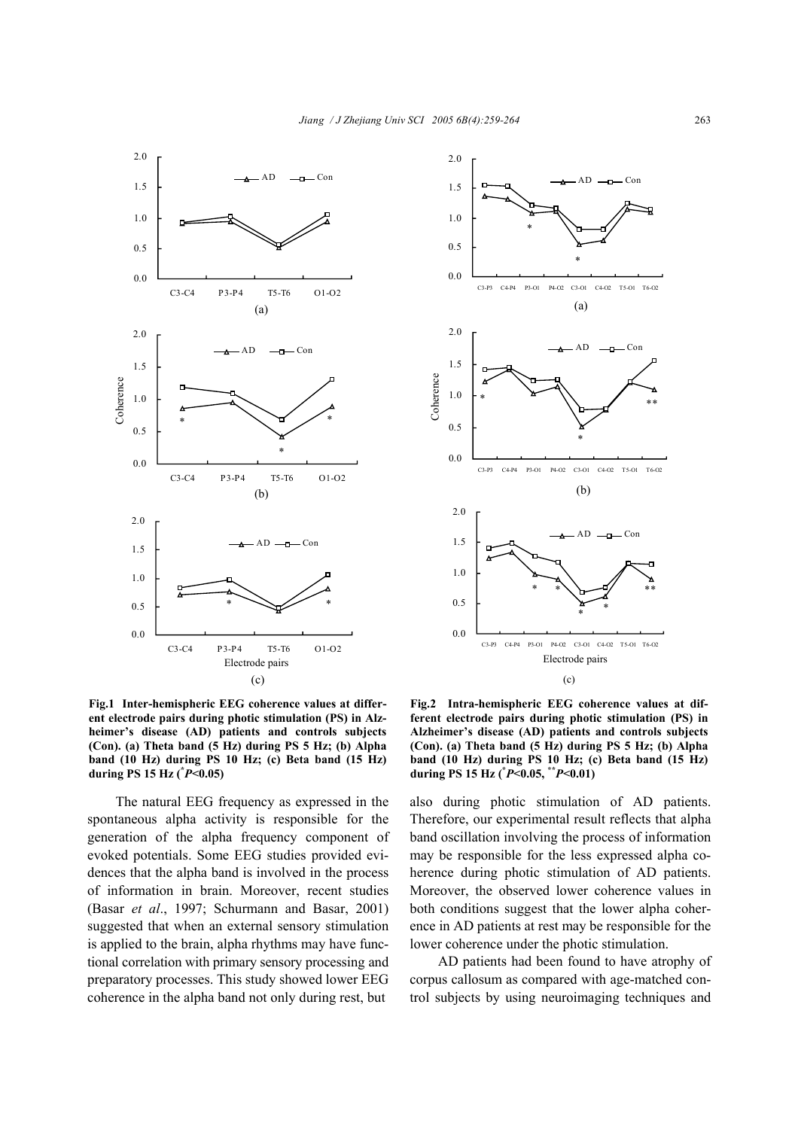



**Fig.1 Inter-hemispheric EEG coherence values at different electrode pairs during photic stimulation (PS) in Alzheimer's disease (AD) patients and controls subjects (Con). (a) Theta band (5 Hz) during PS 5 Hz; (b) Alpha band (10 Hz) during PS 10 Hz; (c) Beta band (15 Hz) during PS 15 Hz (\*** *P***<0.05)** 

The natural EEG frequency as expressed in the spontaneous alpha activity is responsible for the generation of the alpha frequency component of evoked potentials. Some EEG studies provided evidences that the alpha band is involved in the process of information in brain. Moreover, recent studies (Basar *et al*., 1997; Schurmann and Basar, 2001) suggested that when an external sensory stimulation is applied to the brain, alpha rhythms may have functional correlation with primary sensory processing and preparatory processes. This study showed lower EEG coherence in the alpha band not only during rest, but

**Fig.2 Intra-hemispheric EEG coherence values at different electrode pairs during photic stimulation (PS) in Alzheimer's disease (AD) patients and controls subjects (Con). (a) Theta band (5 Hz) during PS 5 Hz; (b) Alpha band (10 Hz) during PS 10 Hz; (c) Beta band (15 Hz) during PS 15 Hz (\*** *P***<0.05, \*\****P***<0.01)** 

also during photic stimulation of AD patients. Therefore, our experimental result reflects that alpha band oscillation involving the process of information may be responsible for the less expressed alpha coherence during photic stimulation of AD patients. Moreover, the observed lower coherence values in both conditions suggest that the lower alpha coherence in AD patients at rest may be responsible for the lower coherence under the photic stimulation.

AD patients had been found to have atrophy of corpus callosum as compared with age-matched control subjects by using neuroimaging techniques and